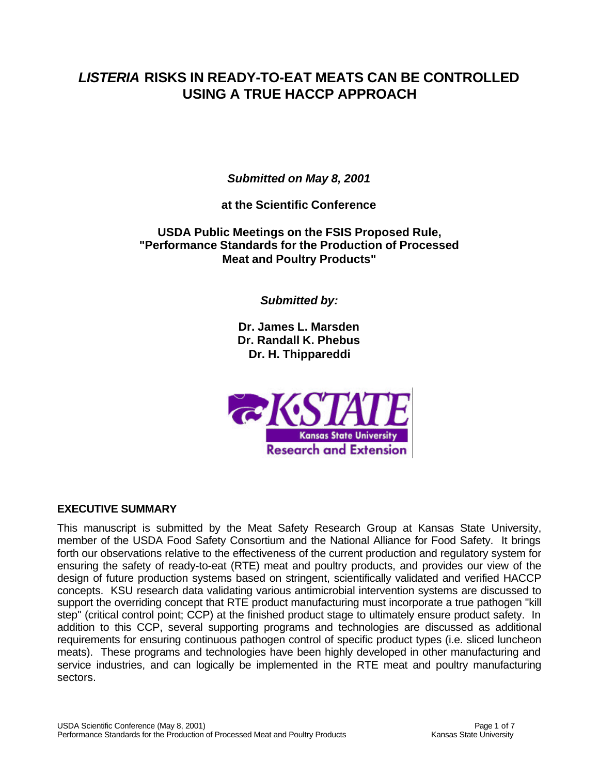# *LISTERIA* **RISKS IN READY-TO-EAT MEATS CAN BE CONTROLLED USING A TRUE HACCP APPROACH**

*Submitted on May 8, 2001*

**at the Scientific Conference**

**USDA Public Meetings on the FSIS Proposed Rule, "Performance Standards for the Production of Processed Meat and Poultry Products"**

*Submitted by:*

**Dr. James L. Marsden Dr. Randall K. Phebus Dr. H. Thippareddi**



#### **EXECUTIVE SUMMARY**

This manuscript is submitted by the Meat Safety Research Group at Kansas State University, member of the USDA Food Safety Consortium and the National Alliance for Food Safety. It brings forth our observations relative to the effectiveness of the current production and regulatory system for ensuring the safety of ready-to-eat (RTE) meat and poultry products, and provides our view of the design of future production systems based on stringent, scientifically validated and verified HACCP concepts. KSU research data validating various antimicrobial intervention systems are discussed to support the overriding concept that RTE product manufacturing must incorporate a true pathogen "kill step" (critical control point; CCP) at the finished product stage to ultimately ensure product safety. In addition to this CCP, several supporting programs and technologies are discussed as additional requirements for ensuring continuous pathogen control of specific product types (i.e. sliced luncheon meats). These programs and technologies have been highly developed in other manufacturing and service industries, and can logically be implemented in the RTE meat and poultry manufacturing sectors.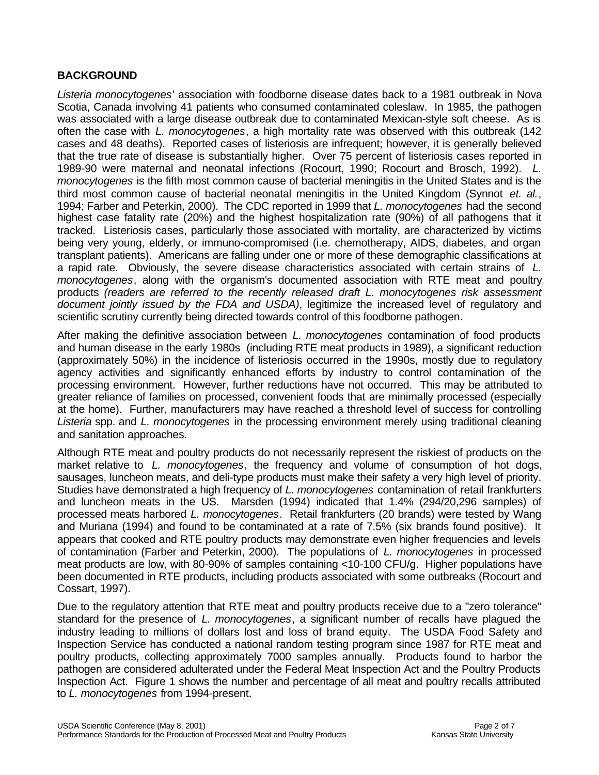### **BACKGROUND**

*Listeria monocytogenes*' association with foodborne disease dates back to a 1981 outbreak in Nova Scotia, Canada involving 41 patients who consumed contaminated coleslaw. In 1985, the pathogen was associated with a large disease outbreak due to contaminated Mexican-style soft cheese. As is often the case with *L. monocytogenes*, a high mortality rate was observed with this outbreak (142 cases and 48 deaths). Reported cases of listeriosis are infrequent; however, it is generally believed that the true rate of disease is substantially higher. Over 75 percent of listeriosis cases reported in 1989-90 were maternal and neonatal infections (Rocourt, 1990; Rocourt and Brosch, 1992). *L. monocytogenes* is the fifth most common cause of bacterial meningitis in the United States and is the third most common cause of bacterial neonatal meningitis in the United Kingdom (Synnot *et. al.*, 1994; Farber and Peterkin, 2000). The CDC reported in 1999 that *L. monocytogenes* had the second highest case fatality rate (20%) and the highest hospitalization rate (90%) of all pathogens that it tracked. Listeriosis cases, particularly those associated with mortality, are characterized by victims being very young, elderly, or immuno-compromised (i.e. chemotherapy, AIDS, diabetes, and organ transplant patients). Americans are falling under one or more of these demographic classifications at a rapid rate. Obviously, the severe disease characteristics associated with certain strains of *L. monocytogenes*, along with the organism's documented association with RTE meat and poultry products *(readers are referred to the recently released draft L. monocytogenes risk assessment document jointly issued by the FDA and USDA)*, legitimize the increased level of regulatory and scientific scrutiny currently being directed towards control of this foodborne pathogen.

After making the definitive association between *L. monocytogenes* contamination of food products and human disease in the early 1980s (including RTE meat products in 1989), a significant reduction (approximately 50%) in the incidence of listeriosis occurred in the 1990s, mostly due to regulatory agency activities and significantly enhanced efforts by industry to control contamination of the processing environment. However, further reductions have not occurred. This may be attributed to greater reliance of families on processed, convenient foods that are minimally processed (especially at the home). Further, manufacturers may have reached a threshold level of success for controlling *Listeria* spp. and *L. monocytogenes* in the processing environment merely using traditional cleaning and sanitation approaches.

Although RTE meat and poultry products do not necessarily represent the riskiest of products on the market relative to *L. monocytogenes*, the frequency and volume of consumption of hot dogs, sausages, luncheon meats, and deli-type products must make their safety a very high level of priority. Studies have demonstrated a high frequency of *L. monocytogenes* contamination of retail frankfurters and luncheon meats in the US. Marsden (1994) indicated that 1.4% (294/20,296 samples) of processed meats harbored *L. monocytogenes*. Retail frankfurters (20 brands) were tested by Wang and Muriana (1994) and found to be contaminated at a rate of 7.5% (six brands found positive). It appears that cooked and RTE poultry products may demonstrate even higher frequencies and levels of contamination (Farber and Peterkin, 2000). The populations of *L. monocytogenes* in processed meat products are low, with 80-90% of samples containing <10-100 CFU/g. Higher populations have been documented in RTE products, including products associated with some outbreaks (Rocourt and Cossart, 1997).

Due to the regulatory attention that RTE meat and poultry products receive due to a "zero tolerance" standard for the presence of *L. monocytogenes*, a significant number of recalls have plagued the industry leading to millions of dollars lost and loss of brand equity. The USDA Food Safety and Inspection Service has conducted a national random testing program since 1987 for RTE meat and poultry products, collecting approximately 7000 samples annually. Products found to harbor the pathogen are considered adulterated under the Federal Meat Inspection Act and the Poultry Products Inspection Act. Figure 1 shows the number and percentage of all meat and poultry recalls attributed to *L. monocytogenes* from 1994-present.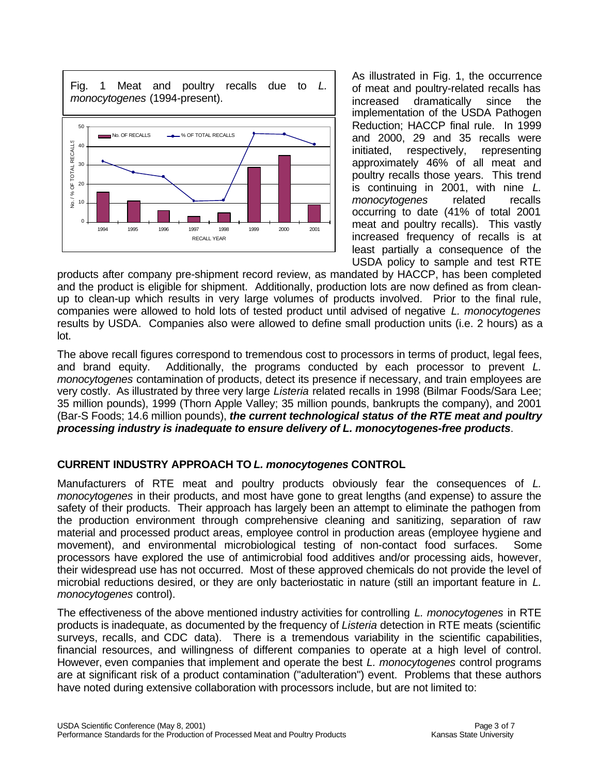

As illustrated in Fig. 1, the occurrence of meat and poultry-related recalls has increased dramatically since the implementation of the USDA Pathogen Reduction; HACCP final rule. In 1999 and 2000, 29 and 35 recalls were initiated, respectively, representing approximately 46% of all meat and poultry recalls those years. This trend is continuing in 2001, with nine *L. monocytogenes* related recalls occurring to date (41% of total 2001 meat and poultry recalls). This vastly increased frequency of recalls is at least partially a consequence of the USDA policy to sample and test RTE

products after company pre-shipment record review, as mandated by HACCP, has been completed and the product is eligible for shipment. Additionally, production lots are now defined as from cleanup to clean-up which results in very large volumes of products involved. Prior to the final rule, companies were allowed to hold lots of tested product until advised of negative *L. monocytogenes* results by USDA. Companies also were allowed to define small production units (i.e. 2 hours) as a lot.

The above recall figures correspond to tremendous cost to processors in terms of product, legal fees, and brand equity. Additionally, the programs conducted by each processor to prevent *L. monocytogenes* contamination of products, detect its presence if necessary, and train employees are very costly. As illustrated by three very large *Listeria* related recalls in 1998 (Bilmar Foods/Sara Lee; 35 million pounds), 1999 (Thorn Apple Valley; 35 million pounds, bankrupts the company), and 2001 (Bar-S Foods; 14.6 million pounds), *the current technological status of the RTE meat and poultry processing industry is inadequate to ensure delivery of L. monocytogenes-free products*.

# **CURRENT INDUSTRY APPROACH TO** *L. monocytogenes* **CONTROL**

Manufacturers of RTE meat and poultry products obviously fear the consequences of *L. monocytogenes* in their products, and most have gone to great lengths (and expense) to assure the safety of their products. Their approach has largely been an attempt to eliminate the pathogen from the production environment through comprehensive cleaning and sanitizing, separation of raw material and processed product areas, employee control in production areas (employee hygiene and movement), and environmental microbiological testing of non-contact food surfaces. Some processors have explored the use of antimicrobial food additives and/or processing aids, however, their widespread use has not occurred. Most of these approved chemicals do not provide the level of microbial reductions desired, or they are only bacteriostatic in nature (still an important feature in *L. monocytogenes* control).

The effectiveness of the above mentioned industry activities for controlling *L. monocytogenes* in RTE products is inadequate, as documented by the frequency of *Listeria* detection in RTE meats (scientific surveys, recalls, and CDC data). There is a tremendous variability in the scientific capabilities, financial resources, and willingness of different companies to operate at a high level of control. However, even companies that implement and operate the best *L. monocytogenes* control programs are at significant risk of a product contamination ("adulteration") event. Problems that these authors have noted during extensive collaboration with processors include, but are not limited to: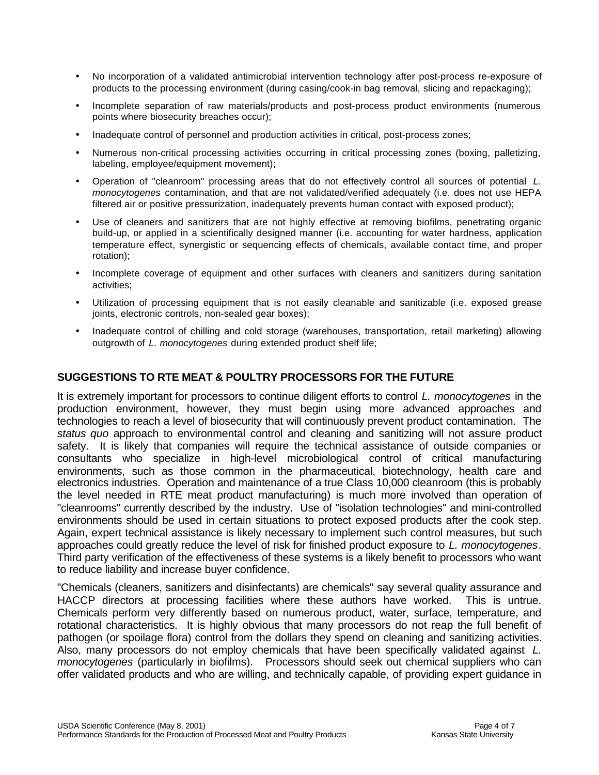- No incorporation of a validated antimicrobial intervention technology after post-process re-exposure of products to the processing environment (during casing/cook-in bag removal, slicing and repackaging);
- Incomplete separation of raw materials/products and post-process product environments (numerous points where biosecurity breaches occur);
- Inadequate control of personnel and production activities in critical, post-process zones;
- Numerous non-critical processing activities occurring in critical processing zones (boxing, palletizing, labeling, employee/equipment movement);
- Operation of "cleanroom" processing areas that do not effectively control all sources of potential *L. monocytogenes* contamination, and that are not validated/verified adequately (i.e. does not use HEPA filtered air or positive pressurization, inadequately prevents human contact with exposed product);
- Use of cleaners and sanitizers that are not highly effective at removing biofilms, penetrating organic build-up, or applied in a scientifically designed manner (i.e. accounting for water hardness, application temperature effect, synergistic or sequencing effects of chemicals, available contact time, and proper rotation);
- Incomplete coverage of equipment and other surfaces with cleaners and sanitizers during sanitation activities;
- Utilization of processing equipment that is not easily cleanable and sanitizable (i.e. exposed grease joints, electronic controls, non-sealed gear boxes);
- Inadequate control of chilling and cold storage (warehouses, transportation, retail marketing) allowing outgrowth of *L. monocytogenes* during extended product shelf life;

### **SUGGESTIONS TO RTE MEAT & POULTRY PROCESSORS FOR THE FUTURE**

It is extremely important for processors to continue diligent efforts to control *L. monocytogenes* in the production environment, however, they must begin using more advanced approaches and technologies to reach a level of biosecurity that will continuously prevent product contamination. The *status quo* approach to environmental control and cleaning and sanitizing will not assure product safety. It is likely that companies will require the technical assistance of outside companies or consultants who specialize in high-level microbiological control of critical manufacturing environments, such as those common in the pharmaceutical, biotechnology, health care and electronics industries. Operation and maintenance of a true Class 10,000 cleanroom (this is probably the level needed in RTE meat product manufacturing) is much more involved than operation of "cleanrooms" currently described by the industry. Use of "isolation technologies" and mini-controlled environments should be used in certain situations to protect exposed products after the cook step. Again, expert technical assistance is likely necessary to implement such control measures, but such approaches could greatly reduce the level of risk for finished product exposure to *L. monocytogenes*. Third party verification of the effectiveness of these systems is a likely benefit to processors who want to reduce liability and increase buyer confidence.

"Chemicals (cleaners, sanitizers and disinfectants) are chemicals" say several quality assurance and HACCP directors at processing facilities where these authors have worked. This is untrue. Chemicals perform very differently based on numerous product, water, surface, temperature, and rotational characteristics. It is highly obvious that many processors do not reap the full benefit of pathogen (or spoilage flora) control from the dollars they spend on cleaning and sanitizing activities. Also, many processors do not employ chemicals that have been specifically validated against *L. monocytogenes* (particularly in biofilms). Processors should seek out chemical suppliers who can offer validated products and who are willing, and technically capable, of providing expert guidance in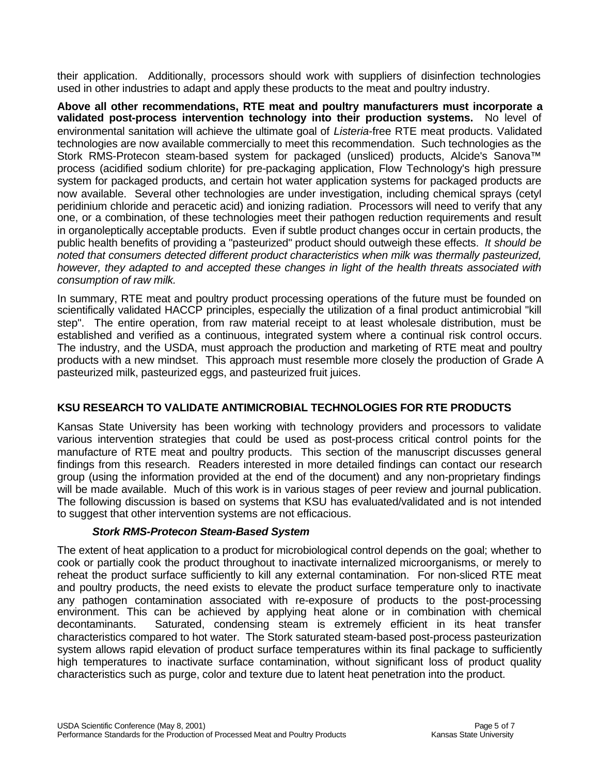their application. Additionally, processors should work with suppliers of disinfection technologies used in other industries to adapt and apply these products to the meat and poultry industry.

**Above all other recommendations, RTE meat and poultry manufacturers must incorporate a validated post-process intervention technology into their production systems.** No level of environmental sanitation will achieve the ultimate goal of *Listeria*-free RTE meat products. Validated technologies are now available commercially to meet this recommendation. Such technologies as the Stork RMS-Protecon steam-based system for packaged (unsliced) products, Alcide's Sanova™ process (acidified sodium chlorite) for pre-packaging application, Flow Technology's high pressure system for packaged products, and certain hot water application systems for packaged products are now available. Several other technologies are under investigation, including chemical sprays (cetyl peridinium chloride and peracetic acid) and ionizing radiation. Processors will need to verify that any one, or a combination, of these technologies meet their pathogen reduction requirements and result in organoleptically acceptable products. Even if subtle product changes occur in certain products, the public health benefits of providing a "pasteurized" product should outweigh these effects. *It should be noted that consumers detected different product characteristics when milk was thermally pasteurized, however, they adapted to and accepted these changes in light of the health threats associated with consumption of raw milk.*

In summary, RTE meat and poultry product processing operations of the future must be founded on scientifically validated HACCP principles, especially the utilization of a final product antimicrobial "kill step". The entire operation, from raw material receipt to at least wholesale distribution, must be established and verified as a continuous, integrated system where a continual risk control occurs. The industry, and the USDA, must approach the production and marketing of RTE meat and poultry products with a new mindset. This approach must resemble more closely the production of Grade A pasteurized milk, pasteurized eggs, and pasteurized fruit juices.

# **KSU RESEARCH TO VALIDATE ANTIMICROBIAL TECHNOLOGIES FOR RTE PRODUCTS**

Kansas State University has been working with technology providers and processors to validate various intervention strategies that could be used as post-process critical control points for the manufacture of RTE meat and poultry products. This section of the manuscript discusses general findings from this research. Readers interested in more detailed findings can contact our research group (using the information provided at the end of the document) and any non-proprietary findings will be made available. Much of this work is in various stages of peer review and journal publication. The following discussion is based on systems that KSU has evaluated/validated and is not intended to suggest that other intervention systems are not efficacious.

# *Stork RMS-Protecon Steam-Based System*

The extent of heat application to a product for microbiological control depends on the goal; whether to cook or partially cook the product throughout to inactivate internalized microorganisms, or merely to reheat the product surface sufficiently to kill any external contamination. For non-sliced RTE meat and poultry products, the need exists to elevate the product surface temperature only to inactivate any pathogen contamination associated with re-exposure of products to the post-processing environment. This can be achieved by applying heat alone or in combination with chemical decontaminants. Saturated, condensing steam is extremely efficient in its heat transfer characteristics compared to hot water. The Stork saturated steam-based post-process pasteurization system allows rapid elevation of product surface temperatures within its final package to sufficiently high temperatures to inactivate surface contamination, without significant loss of product quality characteristics such as purge, color and texture due to latent heat penetration into the product.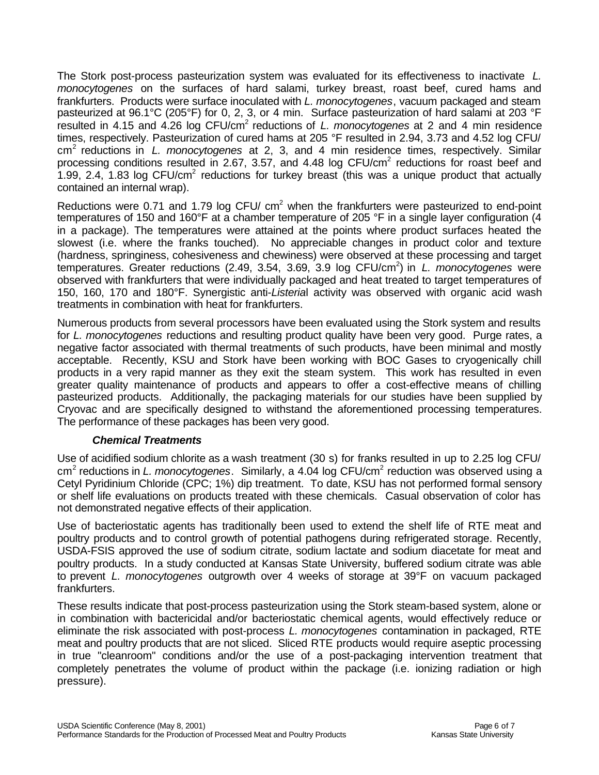The Stork post-process pasteurization system was evaluated for its effectiveness to inactivate *L. monocytogenes* on the surfaces of hard salami, turkey breast, roast beef, cured hams and frankfurters. Products were surface inoculated with *L. monocytogenes*, vacuum packaged and steam pasteurized at 96.1°C (205°F) for 0, 2, 3, or 4 min. Surface pasteurization of hard salami at 203 °F resulted in 4.15 and 4.26 log CFU/cm<sup>2</sup> reductions of *L. monocytogenes* at 2 and 4 min residence times, respectively. Pasteurization of cured hams at 205 °F resulted in 2.94, 3.73 and 4.52 log CFU/ cm<sup>2</sup> reductions in *L. monocytogenes* at 2, 3, and 4 min residence times, respectively. Similar processing conditions resulted in 2.67, 3.57, and 4.48 log CFU/cm<sup>2</sup> reductions for roast beef and 1.99, 2.4, 1.83 log CFU/cm<sup>2</sup> reductions for turkey breast (this was a unique product that actually contained an internal wrap).

Reductions were 0.71 and 1.79 log CFU/  $cm<sup>2</sup>$  when the frankfurters were pasteurized to end-point temperatures of 150 and 160°F at a chamber temperature of 205 °F in a single layer configuration (4 in a package). The temperatures were attained at the points where product surfaces heated the slowest (i.e. where the franks touched). No appreciable changes in product color and texture (hardness, springiness, cohesiveness and chewiness) were observed at these processing and target temperatures. Greater reductions (2.49, 3.54, 3.69, 3.9 log CFU/cm<sup>2</sup>) in *L. monocytogenes* were observed with frankfurters that were individually packaged and heat treated to target temperatures of 150, 160, 170 and 180°F. Synergistic anti-*Listeria*l activity was observed with organic acid wash treatments in combination with heat for frankfurters.

Numerous products from several processors have been evaluated using the Stork system and results for *L. monocytogenes* reductions and resulting product quality have been very good. Purge rates, a negative factor associated with thermal treatments of such products, have been minimal and mostly acceptable. Recently, KSU and Stork have been working with BOC Gases to cryogenically chill products in a very rapid manner as they exit the steam system. This work has resulted in even greater quality maintenance of products and appears to offer a cost-effective means of chilling pasteurized products. Additionally, the packaging materials for our studies have been supplied by Cryovac and are specifically designed to withstand the aforementioned processing temperatures. The performance of these packages has been very good.

#### *Chemical Treatments*

Use of acidified sodium chlorite as a wash treatment (30 s) for franks resulted in up to 2.25 log CFU/ cm<sup>2</sup> reductions in *L. monocytogenes*. Similarly, a 4.04 log CFU/cm<sup>2</sup> reduction was observed using a Cetyl Pyridinium Chloride (CPC; 1%) dip treatment. To date, KSU has not performed formal sensory or shelf life evaluations on products treated with these chemicals. Casual observation of color has not demonstrated negative effects of their application.

Use of bacteriostatic agents has traditionally been used to extend the shelf life of RTE meat and poultry products and to control growth of potential pathogens during refrigerated storage. Recently, USDA-FSIS approved the use of sodium citrate, sodium lactate and sodium diacetate for meat and poultry products. In a study conducted at Kansas State University, buffered sodium citrate was able to prevent *L. monocytogenes* outgrowth over 4 weeks of storage at 39°F on vacuum packaged frankfurters.

These results indicate that post-process pasteurization using the Stork steam-based system, alone or in combination with bactericidal and/or bacteriostatic chemical agents, would effectively reduce or eliminate the risk associated with post-process *L. monocytogenes* contamination in packaged, RTE meat and poultry products that are not sliced. Sliced RTE products would require aseptic processing in true "cleanroom" conditions and/or the use of a post-packaging intervention treatment that completely penetrates the volume of product within the package (i.e. ionizing radiation or high pressure).